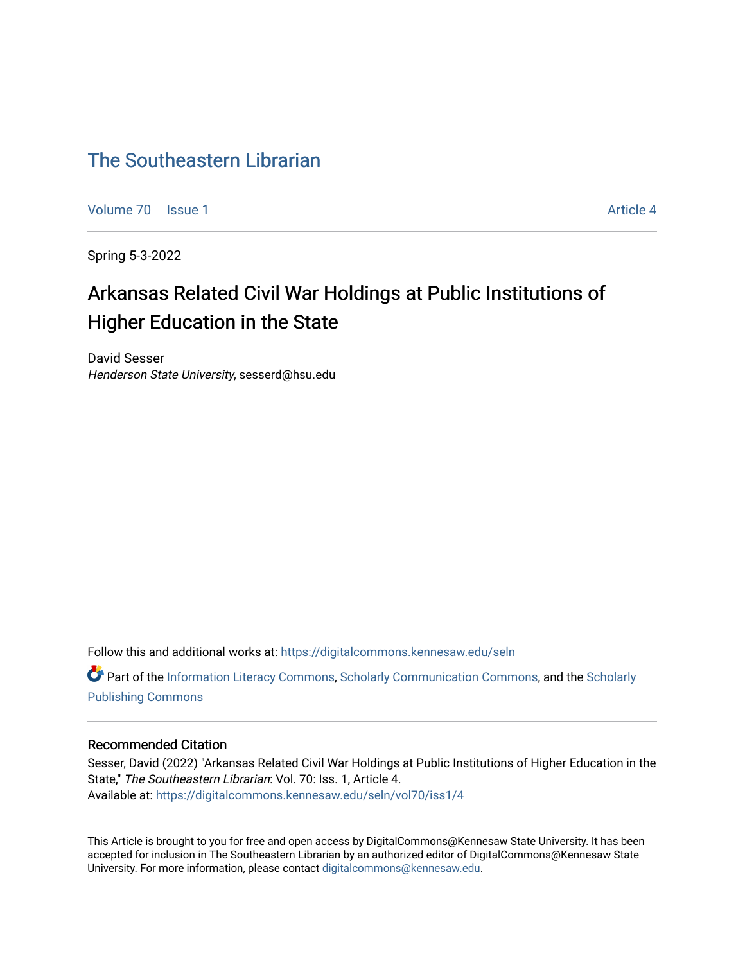## [The Southeastern Librarian](https://digitalcommons.kennesaw.edu/seln)

[Volume 70](https://digitalcommons.kennesaw.edu/seln/vol70) | [Issue 1](https://digitalcommons.kennesaw.edu/seln/vol70/iss1) Article 4

Spring 5-3-2022

# Arkansas Related Civil War Holdings at Public Institutions of Higher Education in the State

David Sesser Henderson State University, sesserd@hsu.edu

Follow this and additional works at: [https://digitalcommons.kennesaw.edu/seln](https://digitalcommons.kennesaw.edu/seln?utm_source=digitalcommons.kennesaw.edu%2Fseln%2Fvol70%2Fiss1%2F4&utm_medium=PDF&utm_campaign=PDFCoverPages) 

**C** Part of the [Information Literacy Commons](http://network.bepress.com/hgg/discipline/1243?utm_source=digitalcommons.kennesaw.edu%2Fseln%2Fvol70%2Fiss1%2F4&utm_medium=PDF&utm_campaign=PDFCoverPages), [Scholarly Communication Commons](http://network.bepress.com/hgg/discipline/1272?utm_source=digitalcommons.kennesaw.edu%2Fseln%2Fvol70%2Fiss1%2F4&utm_medium=PDF&utm_campaign=PDFCoverPages), and the [Scholarly](http://network.bepress.com/hgg/discipline/1273?utm_source=digitalcommons.kennesaw.edu%2Fseln%2Fvol70%2Fiss1%2F4&utm_medium=PDF&utm_campaign=PDFCoverPages) [Publishing Commons](http://network.bepress.com/hgg/discipline/1273?utm_source=digitalcommons.kennesaw.edu%2Fseln%2Fvol70%2Fiss1%2F4&utm_medium=PDF&utm_campaign=PDFCoverPages)

## Recommended Citation

Sesser, David (2022) "Arkansas Related Civil War Holdings at Public Institutions of Higher Education in the State," The Southeastern Librarian: Vol. 70: Iss. 1, Article 4. Available at: [https://digitalcommons.kennesaw.edu/seln/vol70/iss1/4](https://digitalcommons.kennesaw.edu/seln/vol70/iss1/4?utm_source=digitalcommons.kennesaw.edu%2Fseln%2Fvol70%2Fiss1%2F4&utm_medium=PDF&utm_campaign=PDFCoverPages)

This Article is brought to you for free and open access by DigitalCommons@Kennesaw State University. It has been accepted for inclusion in The Southeastern Librarian by an authorized editor of DigitalCommons@Kennesaw State University. For more information, please contact [digitalcommons@kennesaw.edu.](mailto:digitalcommons@kennesaw.edu)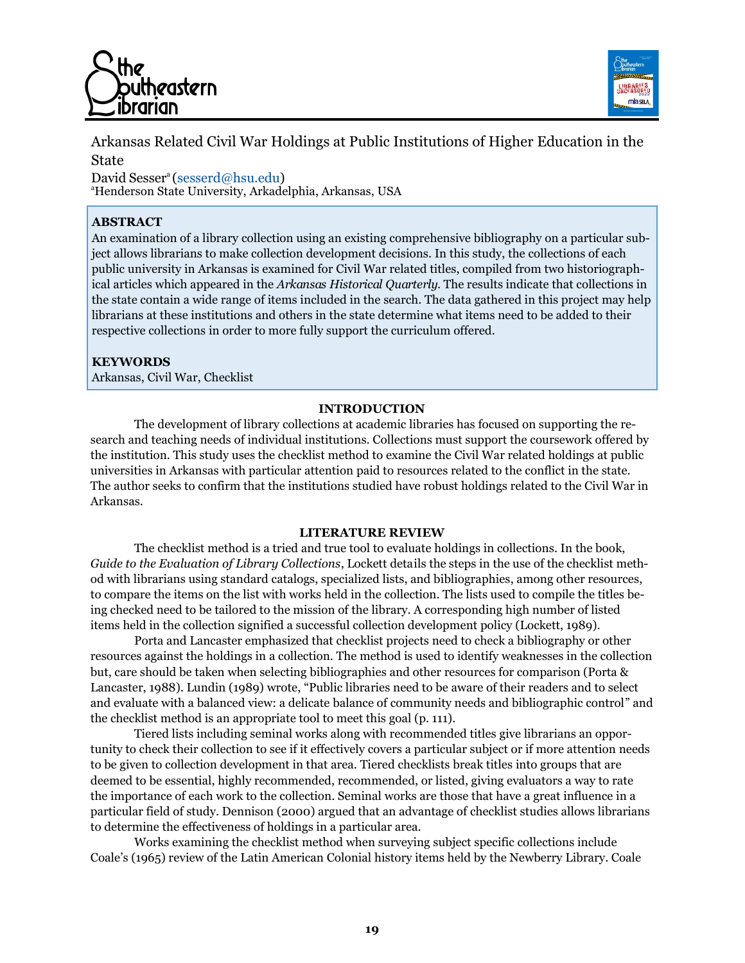



Arkansas Related Civil War Holdings at Public Institutions of Higher Education in the State

David Sesser<sup>a</sup> (sesserd@hsu.edu) <sup>a</sup>Henderson State University, Arkadelphia, Arkansas, USA

## **ABSTRACT**

An examination of a library collection using an existing comprehensive bibliography on a particular subject allows librarians to make collection development decisions. In this study, the collections of each public university in Arkansas is examined for Civil War related titles, compiled from two historiographical articles which appeared in the *Arkansas Historical Quarterly*. The results indicate that collections in the state contain a wide range of items included in the search. The data gathered in this project may help librarians at these institutions and others in the state determine what items need to be added to their respective collections in order to more fully support the curriculum offered.

## **KEYWORDS**

Arkansas, Civil War, Checklist

## **INTRODUCTION**

The development of library collections at academic libraries has focused on supporting the research and teaching needs of individual institutions. Collections must support the coursework offered by the institution. This study uses the checklist method to examine the Civil War related holdings at public universities in Arkansas with particular attention paid to resources related to the conflict in the state. The author seeks to confirm that the institutions studied have robust holdings related to the Civil War in Arkansas.

#### **LITERATURE REVIEW**

The checklist method is a tried and true tool to evaluate holdings in collections. In the book, *Guide to the Evaluation of Library Collections*, Lockett details the steps in the use of the checklist method with librarians using standard catalogs, specialized lists, and bibliographies, among other resources, to compare the items on the list with works held in the collection. The lists used to compile the titles being checked need to be tailored to the mission of the library. A corresponding high number of listed items held in the collection signified a successful collection development policy (Lockett, 1989).

Porta and Lancaster emphasized that checklist projects need to check a bibliography or other resources against the holdings in a collection. The method is used to identify weaknesses in the collection but, care should be taken when selecting bibliographies and other resources for comparison (Porta & Lancaster, 1988). Lundin (1989) wrote, "Public libraries need to be aware of their readers and to select and evaluate with a balanced view: a delicate balance of community needs and bibliographic control" and the checklist method is an appropriate tool to meet this goal (p. 111).

Tiered lists including seminal works along with recommended titles give librarians an opportunity to check their collection to see if it effectively covers a particular subject or if more attention needs to be given to collection development in that area. Tiered checklists break titles into groups that are deemed to be essential, highly recommended, recommended, or listed, giving evaluators a way to rate the importance of each work to the collection. Seminal works are those that have a great influence in a particular field of study. Dennison (2000) argued that an advantage of checklist studies allows librarians to determine the effectiveness of holdings in a particular area.

Works examining the checklist method when surveying subject specific collections include Coale's (1965) review of the Latin American Colonial history items held by the Newberry Library. Coale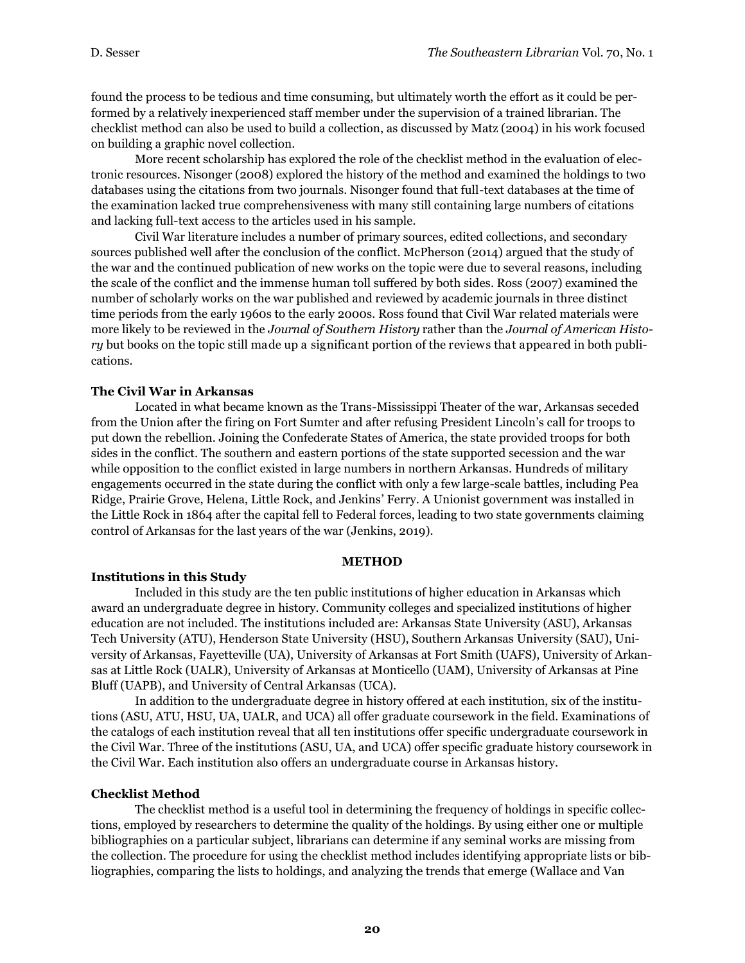found the process to be tedious and time consuming, but ultimately worth the effort as it could be performed by a relatively inexperienced staff member under the supervision of a trained librarian. The checklist method can also be used to build a collection, as discussed by Matz (2004) in his work focused on building a graphic novel collection.

More recent scholarship has explored the role of the checklist method in the evaluation of electronic resources. Nisonger (2008) explored the history of the method and examined the holdings to two databases using the citations from two journals. Nisonger found that full-text databases at the time of the examination lacked true comprehensiveness with many still containing large numbers of citations and lacking full-text access to the articles used in his sample.

Civil War literature includes a number of primary sources, edited collections, and secondary sources published well after the conclusion of the conflict. McPherson (2014) argued that the study of the war and the continued publication of new works on the topic were due to several reasons, including the scale of the conflict and the immense human toll suffered by both sides. Ross (2007) examined the number of scholarly works on the war published and reviewed by academic journals in three distinct time periods from the early 1960s to the early 2000s. Ross found that Civil War related materials were more likely to be reviewed in the *Journal of Southern History* rather than the *Journal of American History* but books on the topic still made up a significant portion of the reviews that appeared in both publications.

#### **The Civil War in Arkansas**

Located in what became known as the Trans-Mississippi Theater of the war, Arkansas seceded from the Union after the firing on Fort Sumter and after refusing President Lincoln's call for troops to put down the rebellion. Joining the Confederate States of America, the state provided troops for both sides in the conflict. The southern and eastern portions of the state supported secession and the war while opposition to the conflict existed in large numbers in northern Arkansas. Hundreds of military engagements occurred in the state during the conflict with only a few large-scale battles, including Pea Ridge, Prairie Grove, Helena, Little Rock, and Jenkins' Ferry. A Unionist government was installed in the Little Rock in 1864 after the capital fell to Federal forces, leading to two state governments claiming control of Arkansas for the last years of the war (Jenkins, 2019).

#### **METHOD**

#### **Institutions in this Study**

Included in this study are the ten public institutions of higher education in Arkansas which award an undergraduate degree in history. Community colleges and specialized institutions of higher education are not included. The institutions included are: Arkansas State University (ASU), Arkansas Tech University (ATU), Henderson State University (HSU), Southern Arkansas University (SAU), University of Arkansas, Fayetteville (UA), University of Arkansas at Fort Smith (UAFS), University of Arkansas at Little Rock (UALR), University of Arkansas at Monticello (UAM), University of Arkansas at Pine Bluff (UAPB), and University of Central Arkansas (UCA).

In addition to the undergraduate degree in history offered at each institution, six of the institutions (ASU, ATU, HSU, UA, UALR, and UCA) all offer graduate coursework in the field. Examinations of the catalogs of each institution reveal that all ten institutions offer specific undergraduate coursework in the Civil War. Three of the institutions (ASU, UA, and UCA) offer specific graduate history coursework in the Civil War. Each institution also offers an undergraduate course in Arkansas history.

#### **Checklist Method**

The checklist method is a useful tool in determining the frequency of holdings in specific collections, employed by researchers to determine the quality of the holdings. By using either one or multiple bibliographies on a particular subject, librarians can determine if any seminal works are missing from the collection. The procedure for using the checklist method includes identifying appropriate lists or bibliographies, comparing the lists to holdings, and analyzing the trends that emerge (Wallace and Van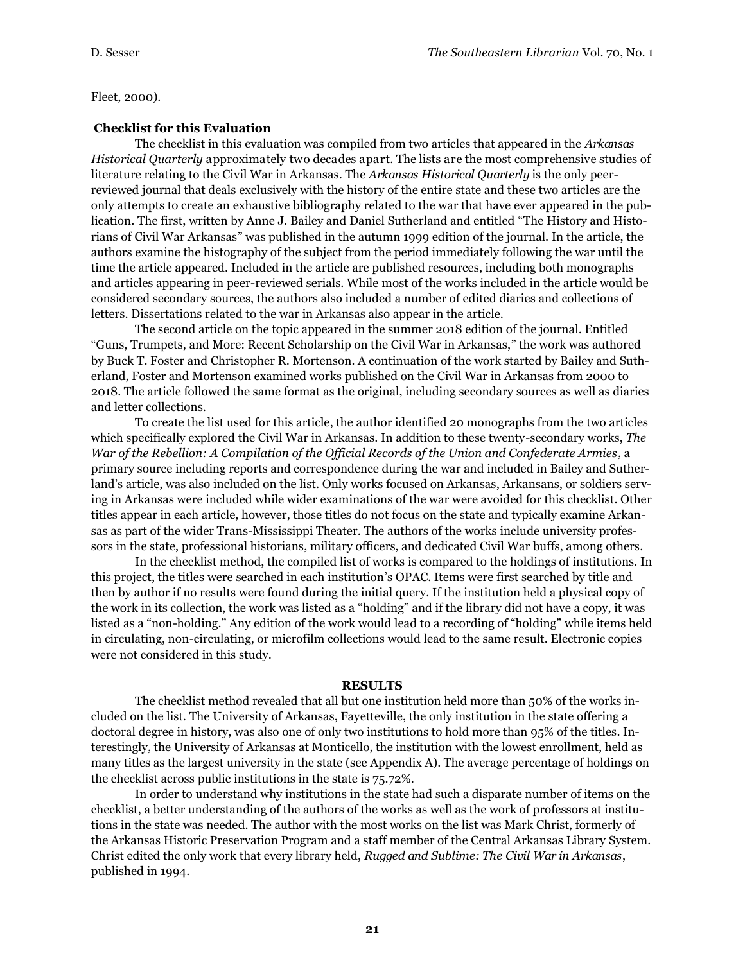Fleet, 2000).

#### **Checklist for this Evaluation**

The checklist in this evaluation was compiled from two articles that appeared in the *Arkansas Historical Quarterly* approximately two decades apart. The lists are the most comprehensive studies of literature relating to the Civil War in Arkansas. The *Arkansas Historical Quarterly* is the only peerreviewed journal that deals exclusively with the history of the entire state and these two articles are the only attempts to create an exhaustive bibliography related to the war that have ever appeared in the publication. The first, written by Anne J. Bailey and Daniel Sutherland and entitled "The History and Historians of Civil War Arkansas" was published in the autumn 1999 edition of the journal. In the article, the authors examine the histography of the subject from the period immediately following the war until the time the article appeared. Included in the article are published resources, including both monographs and articles appearing in peer-reviewed serials. While most of the works included in the article would be considered secondary sources, the authors also included a number of edited diaries and collections of letters. Dissertations related to the war in Arkansas also appear in the article.

The second article on the topic appeared in the summer 2018 edition of the journal. Entitled "Guns, Trumpets, and More: Recent Scholarship on the Civil War in Arkansas," the work was authored by Buck T. Foster and Christopher R. Mortenson. A continuation of the work started by Bailey and Sutherland, Foster and Mortenson examined works published on the Civil War in Arkansas from 2000 to 2018. The article followed the same format as the original, including secondary sources as well as diaries and letter collections.

To create the list used for this article, the author identified 20 monographs from the two articles which specifically explored the Civil War in Arkansas. In addition to these twenty-secondary works, *The War of the Rebellion: A Compilation of the Official Records of the Union and Confederate Armies*, a primary source including reports and correspondence during the war and included in Bailey and Sutherland's article, was also included on the list. Only works focused on Arkansas, Arkansans, or soldiers serving in Arkansas were included while wider examinations of the war were avoided for this checklist. Other titles appear in each article, however, those titles do not focus on the state and typically examine Arkansas as part of the wider Trans-Mississippi Theater. The authors of the works include university professors in the state, professional historians, military officers, and dedicated Civil War buffs, among others.

In the checklist method, the compiled list of works is compared to the holdings of institutions. In this project, the titles were searched in each institution's OPAC. Items were first searched by title and then by author if no results were found during the initial query. If the institution held a physical copy of the work in its collection, the work was listed as a "holding" and if the library did not have a copy, it was listed as a "non-holding." Any edition of the work would lead to a recording of "holding" while items held in circulating, non-circulating, or microfilm collections would lead to the same result. Electronic copies were not considered in this study.

## **RESULTS**

The checklist method revealed that all but one institution held more than 50% of the works included on the list. The University of Arkansas, Fayetteville, the only institution in the state offering a doctoral degree in history, was also one of only two institutions to hold more than 95% of the titles. Interestingly, the University of Arkansas at Monticello, the institution with the lowest enrollment, held as many titles as the largest university in the state (see Appendix A). The average percentage of holdings on the checklist across public institutions in the state is 75.72%.

In order to understand why institutions in the state had such a disparate number of items on the checklist, a better understanding of the authors of the works as well as the work of professors at institutions in the state was needed. The author with the most works on the list was Mark Christ, formerly of the Arkansas Historic Preservation Program and a staff member of the Central Arkansas Library System. Christ edited the only work that every library held, *Rugged and Sublime: The Civil War in Arkansas*, published in 1994.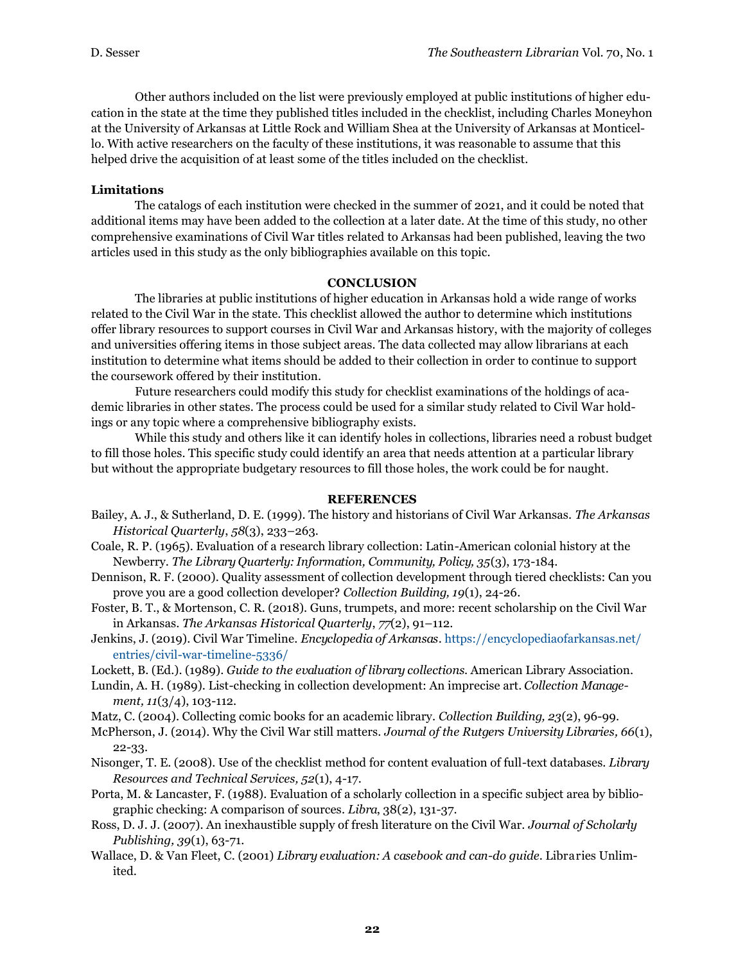Other authors included on the list were previously employed at public institutions of higher education in the state at the time they published titles included in the checklist, including Charles Moneyhon at the University of Arkansas at Little Rock and William Shea at the University of Arkansas at Monticello. With active researchers on the faculty of these institutions, it was reasonable to assume that this helped drive the acquisition of at least some of the titles included on the checklist.

#### **Limitations**

The catalogs of each institution were checked in the summer of 2021, and it could be noted that additional items may have been added to the collection at a later date. At the time of this study, no other comprehensive examinations of Civil War titles related to Arkansas had been published, leaving the two articles used in this study as the only bibliographies available on this topic.

#### **CONCLUSION**

The libraries at public institutions of higher education in Arkansas hold a wide range of works related to the Civil War in the state. This checklist allowed the author to determine which institutions offer library resources to support courses in Civil War and Arkansas history, with the majority of colleges and universities offering items in those subject areas. The data collected may allow librarians at each institution to determine what items should be added to their collection in order to continue to support the coursework offered by their institution.

Future researchers could modify this study for checklist examinations of the holdings of academic libraries in other states. The process could be used for a similar study related to Civil War holdings or any topic where a comprehensive bibliography exists.

While this study and others like it can identify holes in collections, libraries need a robust budget to fill those holes. This specific study could identify an area that needs attention at a particular library but without the appropriate budgetary resources to fill those holes, the work could be for naught.

#### **REFERENCES**

- Bailey, A. J., & Sutherland, D. E. (1999). The history and historians of Civil War Arkansas. *The Arkansas Historical Quarterly*, *58*(3), 233–263.
- Coale, R. P. (1965). Evaluation of a research library collection: Latin-American colonial history at the Newberry. *The Library Quarterly: Information, Community, Policy, 35*(3), 173-184.
- Dennison, R. F. (2000). Quality assessment of collection development through tiered checklists: Can you prove you are a good collection developer? *Collection Building, 19*(1), 24-26.
- Foster, B. T., & Mortenson, C. R. (2018). Guns, trumpets, and more: recent scholarship on the Civil War in Arkansas. *The Arkansas Historical Quarterly*, *77*(2), 91–112.
- Jenkins, J. (2019). Civil War Timeline. *Encyclopedia of Arkansas*. https://encyclopediaofarkansas.net/ entries/civil-war-timeline-5336/

Lockett, B. (Ed.). (1989). *Guide to the evaluation of library collections*. American Library Association.

- Lundin, A. H. (1989). List-checking in collection development: An imprecise art. *Collection Management, 11*(3/4), 103-112.
- Matz, C. (2004). Collecting comic books for an academic library. *Collection Building, 23*(2), 96-99.
- McPherson, J. (2014). Why the Civil War still matters. *Journal of the Rutgers University Libraries, 66*(1), 22-33.
- Nisonger, T. E. (2008). Use of the checklist method for content evaluation of full-text databases. *Library Resources and Technical Services, 52*(1), 4-17.
- Porta, M. & Lancaster, F. (1988). Evaluation of a scholarly collection in a specific subject area by bibliographic checking: A comparison of sources. *Libra*, 38(2), 131-37.
- Ross, D. J. J. (2007). An inexhaustible supply of fresh literature on the Civil War. *Journal of Scholarly Publishing, 39*(1), 63-71.
- Wallace, D. & Van Fleet, C. (2001) *Library evaluation: A casebook and can-do guide*. Libraries Unlimited.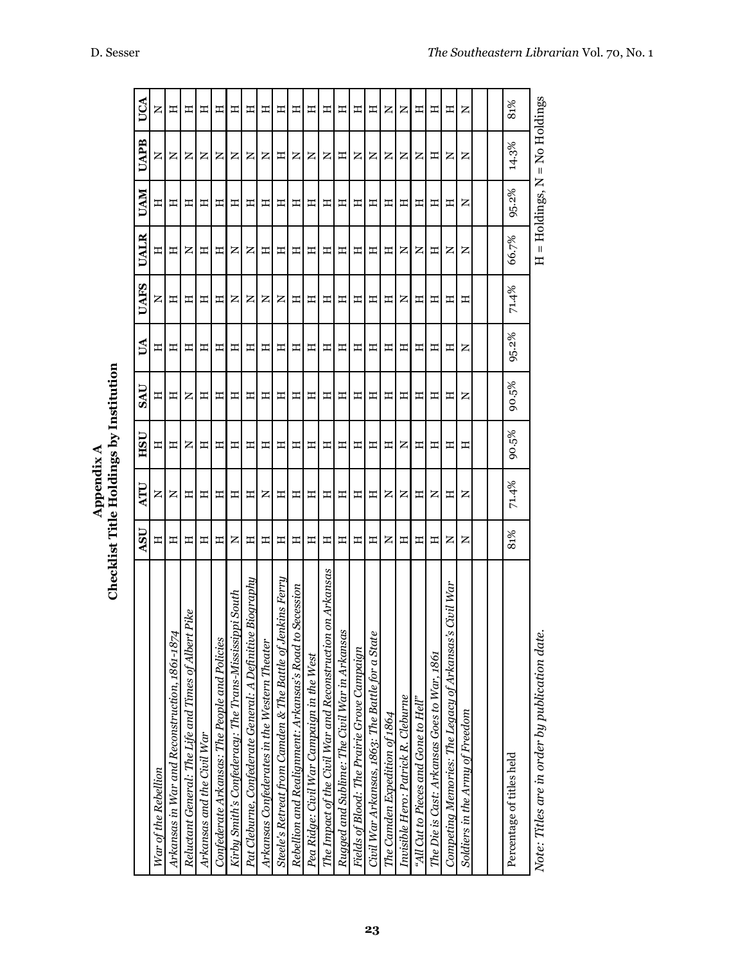|                                                                      | ASU | ATU   | HSU   | SAU   | ß     | UAFS  | UALR         | <b>UAM</b>  | UAPB                                      | UCA |
|----------------------------------------------------------------------|-----|-------|-------|-------|-------|-------|--------------|-------------|-------------------------------------------|-----|
| War of the Rebellion                                                 | Ξ   | z     | Ξ     | Ξ     | ≖     | Z     | Ξ            | Ξ           | z                                         | z   |
| Arkansas in War and Reconstruction, 1861-1874                        | Ξ   | z     | Ξ     | ェ     | ᇁ     | Ξ     | ェ            | ᇁ           | z                                         | 出   |
| Reluctant General: The Life and Times of Albert Pike                 | 出   | ᇁ     | Z     | z     | ᇁ     | ェ     | z            | ェ           | z                                         | ᇁ   |
| Arkansas and the Civil War                                           | Ξ   | ᇁ     | Ξ     | Ξ     | Ξ     | Ξ     | Ξ            | 工           | z                                         | Ξ   |
| Confederate Arkansas: The People and Policies                        | ェ   | ェ     | ェ     | ᇁ     | ᇁ     | ェ     | ェ            | ᇁ           | z                                         | ェ   |
| ppi South<br>Kirby Smith's Confederacy: The Trans-Mississi           | z   | ᄑ     | ᇁ     | ᇁ     | ᄑ     | z     | z            | ᇁ           | z                                         | ᇁ   |
| Pat Cleburne, Confederate General: A Definitive Biography            | 工   | ᇁ     | Ξ     | 工     | 工     | z     | z            | ᇁ           | z                                         | Ξ   |
| Arkansas Confederates in the Western Theater                         | Ξ   | z     | 工     | Ξ     | Ξ     | Z     | Ξ            | ≖           | z                                         | Ξ   |
| enkins Ferry<br>Steele's Retreat from Camden & The Battle of J. $\,$ | ᇁ   | ᇁ     | ᇁ     | ᇁ     | ᇁ     | z     | ᇁ            | ᇁ           | ᇁ                                         | ᇁ   |
| Rebellion and Realignment: Arkansas's Road to Secession              | ᄑ   | ᇁ     | ᄑ     | ᄑ     | ᄑ     | ᄑ     | ᄑ            | 工           | z                                         | ⊞   |
| Pea Ridge: Civil War Campaign in the West                            | Ξ   | Ξ     | ᇁ     | 出     | ᇁ     | ᇁ     | 出            | Ξ           | z                                         | Ξ   |
| The Impact of the Civil War and Reconstruction on Arkansas           | Ξ   | Ξ     | Ξ     | Ξ     | ᄑ     | Ξ     | Ξ            | Ξ           | z                                         | Ξ   |
| Rugged and Sublime: The Civil War in Arkansas                        | Ξ   | ᇁ     | 工     | 工     | 工     | Ξ     | 工            | 工           | 工                                         | Ξ   |
| Fields of Blood: The Prairie Grove Campaign                          | 出   | ᇁ     | 出     | Ξ     | Ξ     | 出     | 工            | ᇁ           | z                                         | 工   |
| بم<br>Civil War Arkansas, 1863: The Battle for a Stat                | ᇁ   | ェ     | ᇁ     | ェ     | ェ     | ᇁ     | ェ            | ェ           | z                                         | ᇁ   |
| The Camden Expedition of 1864                                        | z   | z     | 出     | Ξ     | Ξ     | Ξ     | Ξ            | Ξ           | z                                         | z   |
| Invisible Hero: Patrick R. Cleburne                                  | ᇁ   | z     | z     | Ξ     | Ξ     | z     | z            | ᄑ           | z                                         | z   |
| "All Cut to Pieces and Gone to Hell"                                 | 工   | ᇁ     | Ξ     | 工     | 工     | 工     | z            | ᄑ           | z                                         | 工   |
| The Die is Cast: Arkansas Goes to War, 1861                          | Ξ   | z     | Ξ     | Ξ     | 工     | Ξ     | 出            | ᇁ           | 出                                         | Ξ   |
| 's Civil War<br>Competing Memories: The Legacy of Arkansas           | z   | ᄑ     | Ξ     | ᄑ     | ᄑ     | Ξ     | z            | ᄑ           | z                                         | Ξ   |
| Soldiers in the Army of Freedom                                      | z   | z     | Ξ     | z     | z     | Η     | z            | z           | z                                         | z   |
|                                                                      |     |       |       |       |       |       |              |             |                                           |     |
|                                                                      |     |       |       |       |       |       |              |             |                                           |     |
| Percentage of titles held                                            | 81% | 71.4% | 90.5% | 90.5% | 95.2% | 71.4% | 66.7%        | 95.2%       | $14.3\%$                                  | 81% |
| Note: Titles are in order by publication date.                       |     |       |       |       |       |       | $\,$ II<br>Η | Holdings, N | No Holdings<br>$\ensuremath{\mathsf{II}}$ |     |

Appendix A<br>Checklist Title Holdings by Institution **Checklist Title Holdings by Institution**

**23**